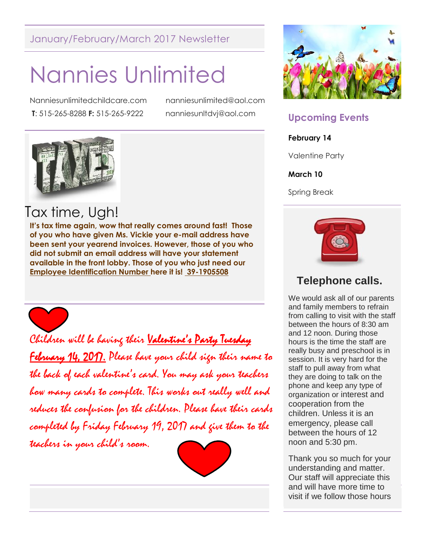#### January/February/March 2017 Newsletter

# Nannies Unlimited

Nanniesunlimitedchildcare.com nanniesunlimited@aol.com **T**: 515-265-8288 **F:** 515-265-9222 nanniesunltdvj@aol.com



# Tax time, Ugh!

**It's tax time again, wow that really comes around fast! Those of you who have given Ms. Vickie your e-mail address have been sent your yearend invoices. However, those of you who did not submit an email address will have your statement available in the front lobby. Those of you who just need our Employee Identification Number here it is! 39-1905508**



Children will be having their **Valentine's Party Tuesday February 14, 2017.** Please have your child sign their name to the back of each valentine's card. You may ask your teachers how many cards to complete. This works out really well and reduces the confusion for the children. Please have their cards completed by Friday February 19, 2017 and give them to the teachers in your child's room.





### **Upcoming Events**

#### **February 14**

Valentine Party

#### **March 10**

Spring Break



### **Telephone calls.**

We would ask all of our parents and family members to refrain from calling to visit with the staff between the hours of 8:30 am and 12 noon. During those hours is the time the staff are really busy and preschool is in session. It is very hard for the staff to pull away from what they are doing to talk on the phone and keep any type of organization or interest and cooperation from the children. Unless it is an emergency, please call between the hours of 12 noon and 5:30 pm.

visit if we follow those hours Thank you so much for your understanding and matter. Our staff will appreciate this and will have more time to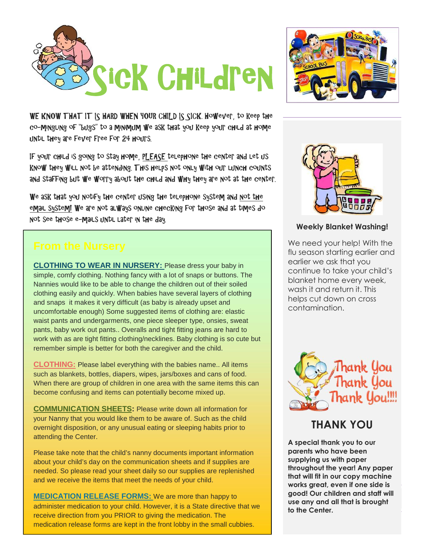



WE KNOW THAT IT IS HARD WHEN YOUR CHILD IS SICK. However, to keep the co-mingling of "bugs" to a minimum we ask that you keep your child at home until they are fever free for 24 hours.

If your child is going to stay home, PLEASE telephone the center and let us know they will not be attending. This helps not only with our lunch counts and staffing but we worry about the child and why they are not at the center.

We ask that you notify the center using the telephone system and not the email system! We are not always online checking for those and at times do not see those e-mails until later in the day.

**CLOTHING TO WEAR IN NURSERY:** Please dress your baby in simple, comfy clothing. Nothing fancy with a lot of snaps or buttons. The Nannies would like to be able to change the children out of their soiled clothing easily and quickly. When babies have several layers of clothing and snaps it makes it very difficult (as baby is already upset and uncomfortable enough) Some suggested items of clothing are: elastic waist pants and undergarments, one piece sleeper type, onsies, sweat pants, baby work out pants.. Overalls and tight fitting jeans are hard to work with as are tight fitting clothing/necklines. Baby clothing is so cute but remember simple is better for both the caregiver and the child.

**CLOTHING:** Please label everything with the babies name.. All items such as blankets, bottles, diapers, wipes, jars/boxes and cans of food. When there are group of children in one area with the same items this can become confusing and items can potentially become mixed up.

**COMMUNICATION SHEETS:** Please write down all information for your Nanny that you would like them to be aware of. Such as the child overnight disposition, or any unusual eating or sleeping habits prior to attending the Center.

Please take note that the child's nanny documents important information about your child's day on the communication sheets and if supplies are needed. So please read your sheet daily so our supplies are replenished and we receive the items that meet the needs of your child.

**MEDICATION RELEASE FORMS:** We are more than happy to administer medication to your child. However, it is a State directive that we receive direction from you PRIOR to giving the medication. The medication release forms are kept in the front lobby in the small cubbies.



#### **Weekly Blanket Washing!**

We need your help! With the flu season starting earlier and earlier we ask that you continue to take your child's blanket home every week, wash it and return it. This helps cut down on cross contamination.



#### **THANK YOU**

Page 2 of 5 **use any and all that is brought A special thank you to our parents who have been supplying us with paper throughout the year! Any paper that will fit in our copy machine works great, even if one side is good! Our children and staff will to the Center.**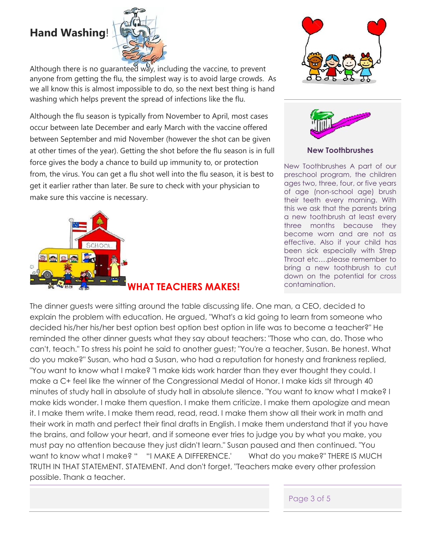## **Hand Washing**!



Although there is no guaranteed way, including the vaccine, to prevent anyone from getting the flu, the simplest way is to avoid large crowds. As we all know this is almost impossible to do, so the next best thing is hand washing which helps prevent the spread of infections like the flu.

Although the flu season is typically from November to April, most cases occur between late December and early March with the vaccine offered between September and mid November (however the shot can be given at other times of the year). Getting the shot before the flu season is in full force gives the body a chance to build up immunity to, or protection from, the virus. You can get a flu shot well into the flu season, it is best to get it earlier rather than later. Be sure to check with your physician to make sure this vaccine is necessary.







#### **New Toothbrushes**

New Toothbrushes A part of our preschool program, the children ages two, three, four, or five years of age (non-school age) brush their teeth every morning. With this we ask that the parents bring a new toothbrush at least every three months because they become worn and are not as effective. Also if your child has been sick especially with Strep Throat etc….please remember to bring a new toothbrush to cut down on the potential for cross contamination.

The dinner guests were sitting around the table discussing life. One man, a CEO, decided to explain the problem with education. He argued, "What's a kid going to learn from someone who decided his/her his/her best option best option best option in life was to become a teacher?" He reminded the other dinner guests what they say about teachers: "Those who can, do. Those who can't, teach." To stress his point he said to another guest; "You're a teacher, Susan. Be honest. What do you make?" Susan, who had a Susan, who had a reputation for honesty and frankness replied, "You want to know what I make? "I make kids work harder than they ever thought they could. I make a C+ feel like the winner of the Congressional Medal of Honor. I make kids sit through 40 minutes of study hall in absolute of study hall in absolute silence. "You want to know what I make? I make kids wonder. I make them question. I make them criticize. I make them apologize and mean it. I make them write. I make them read, read, read. I make them show all their work in math and their work in math and perfect their final drafts in English. I make them understand that if you have the brains, and follow your heart, and if someone ever tries to judge you by what you make, you must pay no attention because they just didn't learn." Susan paused and then continued. "You want to know what I make? " "I MAKE A DIFFERENCE.' What do you make?" THERE IS MUCH TRUTH IN THAT STATEMENT. STATEMENT. And don't forget, "Teachers make every other profession possible. Thank a teacher.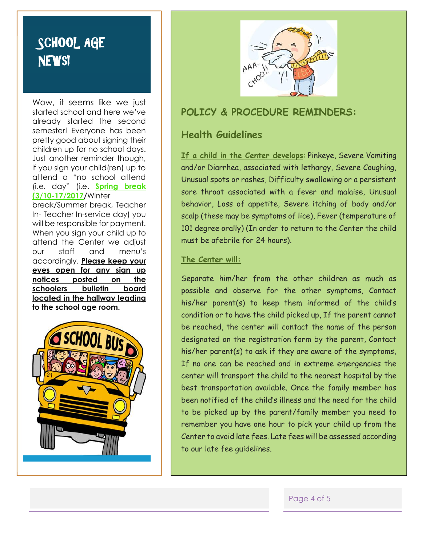# **SCHOOL AGE NEWs!**

Wow, it seems like we just started school and here we've already started the second semester! Everyone has been pretty good about signing their children up for no school days. Just another reminder though, if you sign your child(ren) up to attend a "no school attend (i.e. day" (i.e. **Spring break (3/10-17/2017/**Winter

break/Summer break, Teacher In- Teacher In-service day) you will be responsible for payment. When you sign your child up to attend the Center we adjust our staff and menu's accordingly. **Please keep your eyes open for any sign up notices posted on the schoolers bulletin board located in the hallway leading to the school age room.**





#### **POLICY & PROCEDURE REMINDERS:**

#### **Health Guidelines**

**If a child in the Center develops**: Pinkeye, Severe Vomiting and/or Diarrhea, associated with lethargy, Severe Coughing, Unusual spots or rashes, Difficulty swallowing or a persistent sore throat associated with a fever and malaise, Unusual behavior, Loss of appetite, Severe itching of body and/or scalp (these may be symptoms of lice), Fever (temperature of 101 degree orally) (In order to return to the Center the child must be afebrile for 24 hours).

#### **The Center will:**

Separate him/her from the other children as much as possible and observe for the other symptoms, Contact his/her parent(s) to keep them informed of the child's condition or to have the child picked up, If the parent cannot be reached, the center will contact the name of the person designated on the registration form by the parent, Contact his/her parent(s) to ask if they are aware of the symptoms, If no one can be reached and in extreme emergencies the center will transport the child to the nearest hospital by the best transportation available. Once the family member has been notified of the child's illness and the need for the child to be picked up by the parent/family member you need to remember you have one hour to pick your child up from the Center to avoid late fees. Late fees will be assessed according to our late fee guidelines.

Page 4 of 5